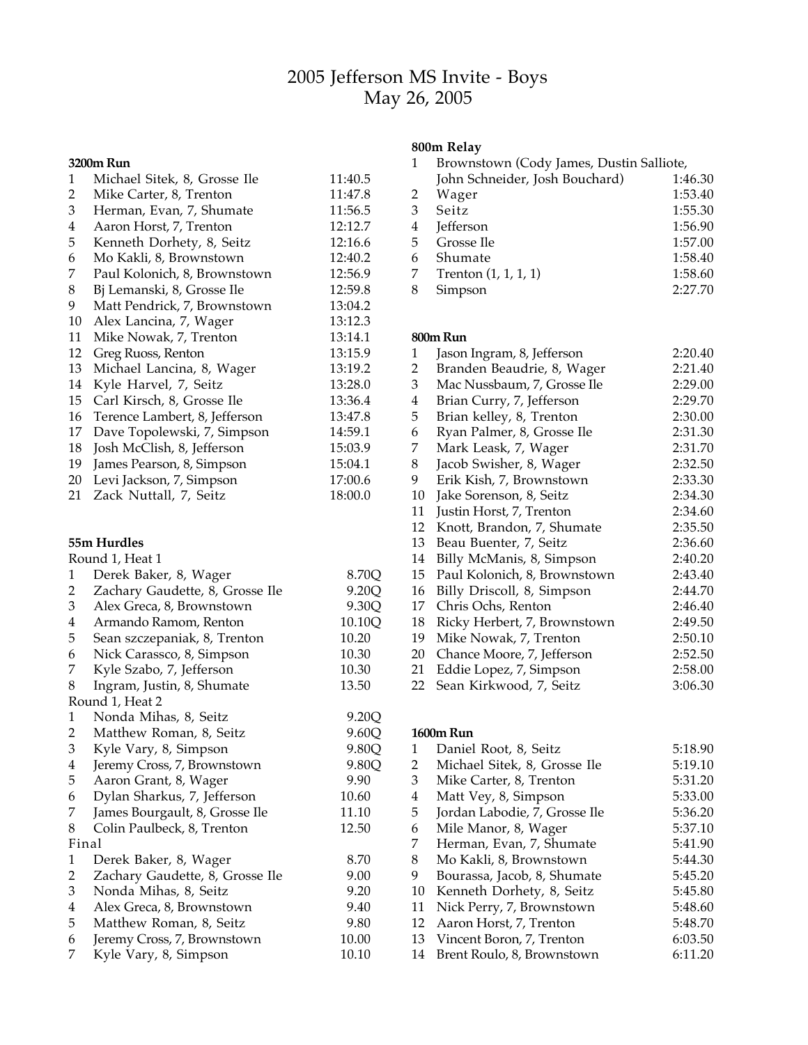# Jefferson MS Invite - Boys May 26, 2005

#### **3200m Run**

| $\mathbf{1}$                | Michael Sitek, 8, Grosse Ile                          | 11:40.5 |
|-----------------------------|-------------------------------------------------------|---------|
| $\overline{c}$              | Mike Carter, 8, Trenton                               | 11:47.8 |
| $\ensuremath{\mathfrak{Z}}$ | Herman, Evan, 7, Shumate                              | 11:56.5 |
| $\overline{\mathbf{4}}$     | Aaron Horst, 7, Trenton                               | 12:12.7 |
| 5                           | Kenneth Dorhety, 8, Seitz                             | 12:16.6 |
| 6                           | Mo Kakli, 8, Brownstown                               | 12:40.2 |
| 7                           | Paul Kolonich, 8, Brownstown                          | 12:56.9 |
| 8                           | Bj Lemanski, 8, Grosse Ile                            | 12:59.8 |
| 9                           | Matt Pendrick, 7, Brownstown                          | 13:04.2 |
| 10                          | Alex Lancina, 7, Wager                                | 13:12.3 |
| 11                          | Mike Nowak, 7, Trenton                                | 13:14.1 |
| 12                          | Greg Ruoss, Renton                                    | 13:15.9 |
| 13                          | Michael Lancina, 8, Wager                             | 13:19.2 |
| 14                          | Kyle Harvel, 7, Seitz                                 | 13:28.0 |
| 15                          | Carl Kirsch, 8, Grosse Ile                            | 13:36.4 |
| 16                          | Terence Lambert, 8, Jefferson                         | 13:47.8 |
| 17                          | Dave Topolewski, 7, Simpson                           | 14:59.1 |
| 18                          | Josh McClish, 8, Jefferson                            | 15:03.9 |
| 19                          |                                                       | 15:04.1 |
| 20                          | James Pearson, 8, Simpson<br>Levi Jackson, 7, Simpson | 17:00.6 |
| 21                          | Zack Nuttall, 7, Seitz                                | 18:00.0 |
|                             |                                                       |         |
|                             |                                                       |         |
|                             | 55m Hurdles                                           |         |
|                             | Round 1, Heat 1                                       |         |
| 1                           | Derek Baker, 8, Wager                                 | 8.70Q   |
| $\overline{\mathbf{c}}$     | Zachary Gaudette, 8, Grosse Ile                       | 9.20Q   |
| 3                           | Alex Greca, 8, Brownstown                             | 9.30Q   |
| $\overline{\mathbf{4}}$     | Armando Ramom, Renton                                 | 10.10Q  |
| 5                           | Sean szczepaniak, 8, Trenton                          | 10.20   |
| 6                           | Nick Carassco, 8, Simpson                             | 10.30   |
| 7                           | Kyle Szabo, 7, Jefferson                              | 10.30   |
| 8                           | Ingram, Justin, 8, Shumate                            | 13.50   |
|                             | Round 1, Heat 2                                       |         |
| $\mathbf{1}$                | Nonda Mihas, 8, Seitz                                 | 9.20Q   |
| $\overline{2}$              | Matthew Roman, 8, Seitz                               | 9.60Q   |
| 3                           | Kyle Vary, 8, Simpson                                 | 9.80Q   |
| $\overline{\mathbf{4}}$     | Jeremy Cross, 7, Brownstown                           | 9.80Q   |
| 5                           | Aaron Grant, 8, Wager                                 | 9.90    |
| 6                           |                                                       | 10.60   |
| 7                           | Dylan Sharkus, 7, Jefferson                           |         |
|                             | James Bourgault, 8, Grosse Ile                        | 11.10   |
| 8<br>Final                  | Colin Paulbeck, 8, Trenton                            | 12.50   |
|                             |                                                       |         |
| $\mathbf{1}$                | Derek Baker, 8, Wager                                 | 8.70    |
| $\overline{\mathbf{c}}$     | Zachary Gaudette, 8, Grosse Ile                       | 9.00    |
| 3                           | Nonda Mihas, 8, Seitz                                 | 9.20    |
| $\overline{\mathbf{4}}$     | Alex Greca, 8, Brownstown                             | 9.40    |
| 5                           | Matthew Roman, 8, Seitz                               | 9.80    |
| 6                           | Jeremy Cross, 7, Brownstown                           | 10.00   |
| 7                           | Kyle Vary, 8, Simpson                                 | 10.10   |

#### **800m Relay**

|   | Brownstown (Cody James, Dustin Salliote, |         |
|---|------------------------------------------|---------|
|   | John Schneider, Josh Bouchard)           | 1:46.30 |
| 2 | Wager                                    | 1:53.40 |
| 3 | <b>Seitz</b>                             | 1:55.30 |
| 4 | Jefferson                                | 1:56.90 |
| 5 | Grosse Ile                               | 1:57.00 |
| 6 | Shumate                                  | 1:58.40 |
| 7 | Trenton $(1, 1, 1, 1)$                   | 1:58.60 |
| 8 | Simpson                                  | 2:27.70 |

#### **800mRun**

| 1  | Jason Ingram, 8, Jefferson   | 2:20.40 |
|----|------------------------------|---------|
| 2  | Branden Beaudrie, 8, Wager   | 2:21.40 |
| 3  | Mac Nussbaum, 7, Grosse Ile  | 2:29.00 |
| 4  | Brian Curry, 7, Jefferson    | 2:29.70 |
| 5  | Brian kelley, 8, Trenton     | 2:30.00 |
| 6  | Ryan Palmer, 8, Grosse Ile   | 2:31.30 |
| 7  | Mark Leask, 7, Wager         | 2:31.70 |
| 8  | Jacob Swisher, 8, Wager      | 2:32.50 |
| 9  | Erik Kish, 7, Brownstown     | 2:33.30 |
| 10 | Jake Sorenson, 8, Seitz      | 2:34.30 |
| 11 | Justin Horst, 7, Trenton     | 2:34.60 |
| 12 | Knott, Brandon, 7, Shumate   | 2:35.50 |
| 13 | Beau Buenter, 7, Seitz       | 2:36.60 |
| 14 | Billy McManis, 8, Simpson    | 2:40.20 |
| 15 | Paul Kolonich, 8, Brownstown | 2:43.40 |
| 16 | Billy Driscoll, 8, Simpson   | 2:44.70 |
| 17 | Chris Ochs, Renton           | 2:46.40 |
| 18 | Ricky Herbert, 7, Brownstown | 2:49.50 |
| 19 | Mike Nowak, 7, Trenton       | 2:50.10 |
| 20 | Chance Moore, 7, Jefferson   | 2:52.50 |
| 21 | Eddie Lopez, 7, Simpson      | 2:58.00 |
| 22 | Sean Kirkwood, 7, Seitz      | 3:06.30 |

#### **1600m Run** 1 Daniel Root, 8, Seitz 5:18.90 2 Michael Sitek, 8, Grosse Ile 5:19.10 Mike Carter, 8, Trenton 5:31.20 Matt Vey, 8, Simpson 5:33.00 Jordan Labodie, 7, Grosse Ile 5:36.20 Mile Manor, 8, Wager 5:37.10 7 Herman, Evan, 7, Shumate 5:41.90 Mo Kakli, 8, Brownstown 5:44.30 Bourassa, Jacob, 8, Shumate 5:45.20 10 Kenneth Dorhety, 8, Seitz 5:45.80 Nick Perry, 7, Brownstown 5:48.60 Aaron Horst, 7, Trenton 5:48.70 13 Vincent Boron, 7, Trenton 6:03.50 Brent Roulo, 8, Brownstown 6:11.20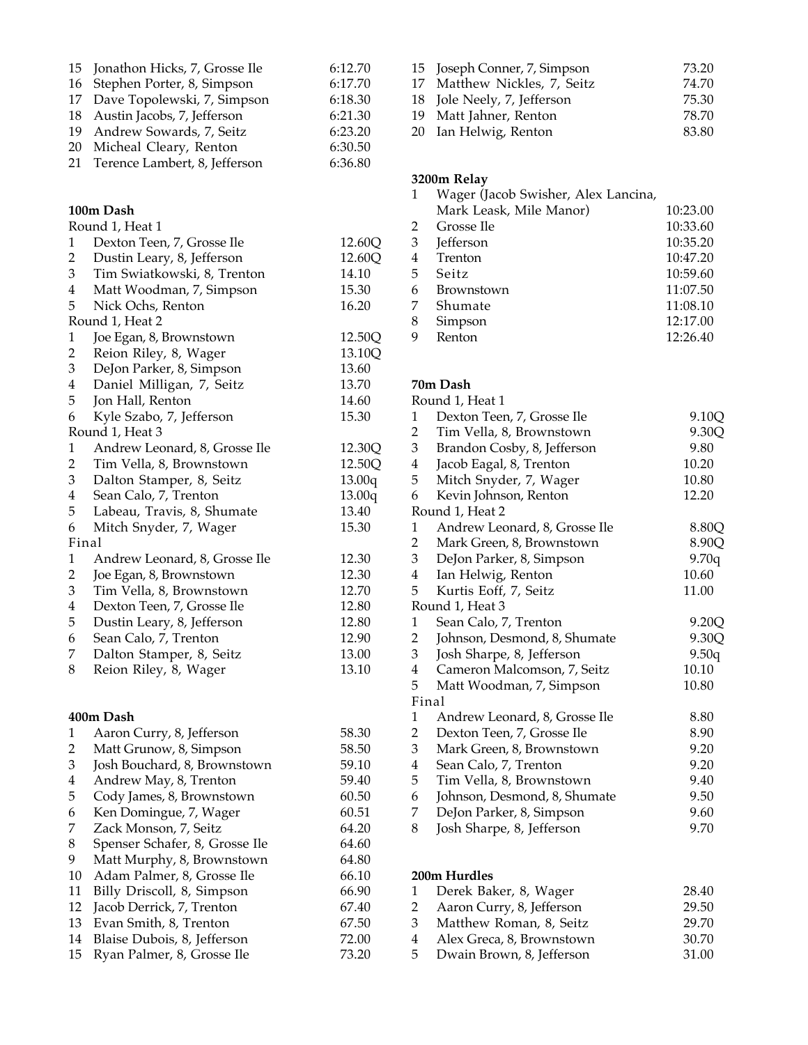| 15 Jonathon Hicks, 7, Grosse Ile | 6:12.70 |
|----------------------------------|---------|
| 16 Stephen Porter, 8, Simpson    | 6:17.70 |
| 17 Dave Topolewski, 7, Simpson   | 6:18.30 |
| 18 Austin Jacobs, 7, Jefferson   | 6:21.30 |
| 19 Andrew Sowards, 7, Seitz      | 6:23.20 |
| 20 Micheal Cleary, Renton        | 6:30.50 |
| 21 Terence Lambert, 8, Jefferson | 6:36.80 |
|                                  |         |

#### **100m Dash**

|                         | Round 1, Heat 1                                         |        |
|-------------------------|---------------------------------------------------------|--------|
| $\mathbf{1}$            | Dexton Teen, 7, Grosse Ile                              | 12.60Q |
| $\overline{2}$          | Dustin Leary, 8, Jefferson                              | 12.60Q |
| 3                       | Tim Swiatkowski, 8, Trenton                             | 14.10  |
| $\overline{\mathbf{4}}$ | Matt Woodman, 7, Simpson                                | 15.30  |
| 5                       | Nick Ochs, Renton                                       | 16.20  |
|                         | Round 1, Heat 2                                         |        |
| $\mathbf{1}$            | Joe Egan, 8, Brownstown                                 | 12.50Q |
| $\overline{\mathbf{c}}$ | Reion Riley, 8, Wager                                   | 13.10Q |
| 3                       | DeJon Parker, 8, Simpson                                | 13.60  |
| $\overline{4}$          | Daniel Milligan, 7, Seitz                               | 13.70  |
| 5                       | Jon Hall, Renton                                        | 14.60  |
| 6                       | Kyle Szabo, 7, Jefferson                                | 15.30  |
|                         | Round 1, Heat 3                                         |        |
| 1                       | Andrew Leonard, 8, Grosse Ile                           | 12.30Q |
| $\overline{2}$          | Tim Vella, 8, Brownstown                                | 12.50Q |
| 3                       | Dalton Stamper, 8, Seitz                                | 13.00q |
| 4                       | Sean Calo, 7, Trenton                                   | 13.00q |
| 5                       | Labeau, Travis, 8, Shumate                              | 13.40  |
| 6                       | Mitch Snyder, 7, Wager                                  | 15.30  |
|                         | Final                                                   |        |
| $\mathbf{1}$            | Andrew Leonard, 8, Grosse Ile                           | 12.30  |
| $\overline{c}$          | Joe Egan, 8, Brownstown                                 | 12.30  |
| 3                       | Tim Vella, 8, Brownstown                                | 12.70  |
| $\overline{4}$          | Dexton Teen, 7, Grosse Ile                              | 12.80  |
| 5                       | Dustin Leary, 8, Jefferson                              | 12.80  |
| 6                       | Sean Calo, 7, Trenton                                   | 12.90  |
| 7                       | Dalton Stamper, 8, Seitz                                | 13.00  |
| 8                       | Reion Riley, 8, Wager                                   | 13.10  |
|                         |                                                         |        |
| 1                       | 400m Dash                                               | 58.30  |
| 2                       | Aaron Curry, 8, Jefferson                               | 58.50  |
| 3                       | Matt Grunow, 8, Simpson<br>Josh Bouchard, 8, Brownstown | 59.10  |
|                         |                                                         |        |

| 4  | Andrew May, 8, Trenton         | 59.40 |
|----|--------------------------------|-------|
| 5  | Cody James, 8, Brownstown      | 60.50 |
| 6  | Ken Domingue, 7, Wager         | 60.51 |
| 7  | Zack Monson, 7, Seitz          | 64.20 |
| 8  | Spenser Schafer, 8, Grosse Ile | 64.60 |
| 9  | Matt Murphy, 8, Brownstown     | 64.80 |
| 10 | Adam Palmer, 8, Grosse Ile     | 66.10 |
| 11 | Billy Driscoll, 8, Simpson     | 66.90 |
| 12 | Jacob Derrick, 7, Trenton      | 67.40 |
| 13 | Evan Smith, 8, Trenton         | 67.50 |
| 14 | Blaise Dubois, 8, Jefferson    | 72.00 |

14 Blaise Dubois, 8, Jefferson 72.00 Ryan Palmer, 8, Grosse Ile 73.20

| 15 Joseph Conner, 7, Simpson | 73.20 |
|------------------------------|-------|
| 17 Matthew Nickles, 7, Seitz | 74.70 |
| 18 Jole Neely, 7, Jefferson  | 75.30 |
| 19 Matt Jahner, Renton       | 78.70 |
| 20 Ian Helwig, Renton        | 83.80 |

## **3200m Relay**

| 1 | Wager (Jacob Swisher, Alex Lancina, |          |
|---|-------------------------------------|----------|
|   | Mark Leask, Mile Manor)             | 10:23.00 |
| 2 | Grosse Ile                          | 10:33.60 |
| 3 | <b>Jefferson</b>                    | 10:35.20 |
| 4 | Trenton                             | 10:47.20 |
| 5 | Seitz                               | 10:59.60 |
| 6 | Brownstown                          | 11:07.50 |
| 7 | Shumate                             | 11:08.10 |
| 8 | Simpson                             | 12:17.00 |
| 9 | Renton                              | 12:26.40 |
|   |                                     |          |

### **70m Dash**

|                         | Round 1, Heat 1               |       |
|-------------------------|-------------------------------|-------|
| 1                       | Dexton Teen, 7, Grosse Ile    | 9.10Q |
| 2                       | Tim Vella, 8, Brownstown      | 9.30Q |
| 3                       | Brandon Cosby, 8, Jefferson   | 9.80  |
| $\overline{4}$          | Jacob Eagal, 8, Trenton       | 10.20 |
| 5                       | Mitch Snyder, 7, Wager        | 10.80 |
| 6                       | Kevin Johnson, Renton         | 12.20 |
|                         | Round 1, Heat 2               |       |
| 1                       | Andrew Leonard, 8, Grosse Ile | 8.80Q |
| $\overline{2}$          | Mark Green, 8, Brownstown     | 8.90Q |
| 3                       | DeJon Parker, 8, Simpson      | 9.70q |
| 4                       | Ian Helwig, Renton            | 10.60 |
| 5                       | Kurtis Eoff, 7, Seitz         | 11.00 |
|                         | Round 1, Heat 3               |       |
| 1                       | Sean Calo, 7, Trenton         | 9.20Q |
| $\overline{2}$          | Johnson, Desmond, 8, Shumate  | 9.30Q |
| 3                       | Josh Sharpe, 8, Jefferson     | 9.50q |
| $\overline{\mathbf{4}}$ | Cameron Malcomson, 7, Seitz   | 10.10 |
| 5                       | Matt Woodman, 7, Simpson      | 10.80 |
| Final                   |                               |       |
| 1                       | Andrew Leonard, 8, Grosse Ile | 8.80  |
| $\overline{2}$          | Dexton Teen, 7, Grosse Ile    | 8.90  |
| 3                       | Mark Green, 8, Brownstown     | 9.20  |
| $\overline{\mathbf{4}}$ | Sean Calo, 7, Trenton         | 9.20  |
| 5                       | Tim Vella, 8, Brownstown      | 9.40  |
| 6                       | Johnson, Desmond, 8, Shumate  | 9.50  |
| 7                       | DeJon Parker, 8, Simpson      | 9.60  |
| 8                       | Josh Sharpe, 8, Jefferson     | 9.70  |
|                         |                               |       |

**200m Hurdles**

| 1  | Derek Baker, 8, Wager     | 28.40 |
|----|---------------------------|-------|
| 2  | Aaron Curry, 8, Jefferson | 29.50 |
| 3  | Matthew Roman, 8, Seitz   | 29.70 |
| 4  | Alex Greca, 8, Brownstown | 30.70 |
| 5. | Dwain Brown, 8, Jefferson | 31.00 |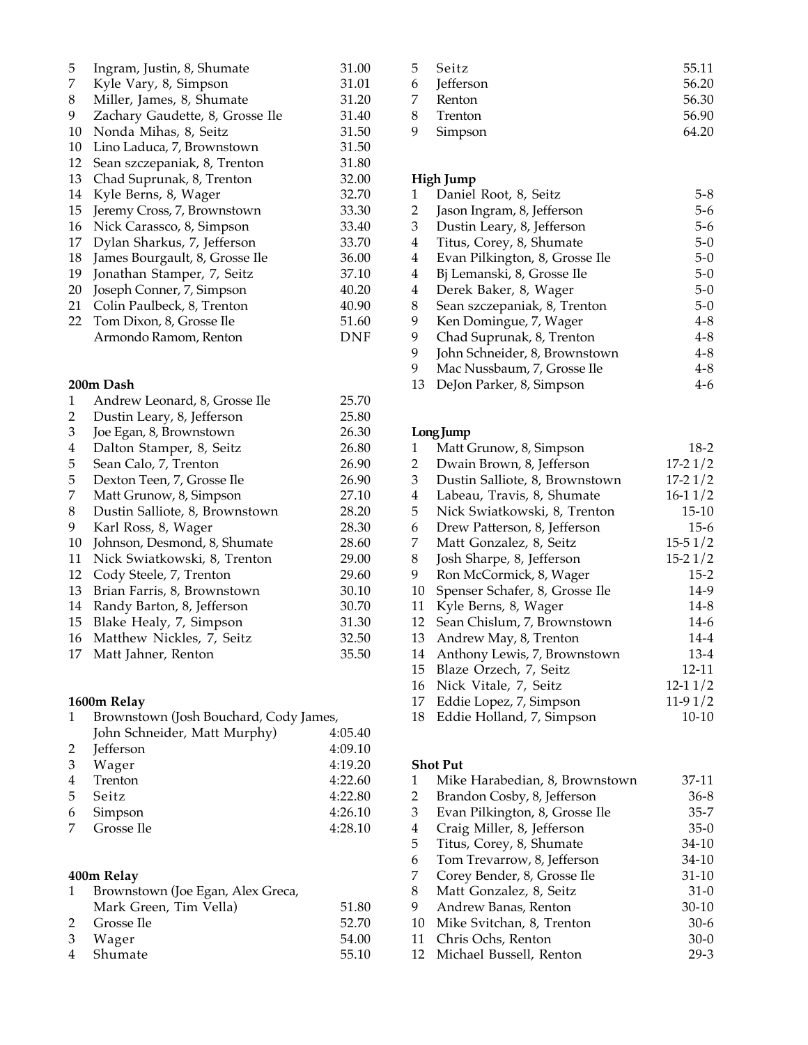| 5  | Ingram, Justin, 8, Shumate      | 31.00 |
|----|---------------------------------|-------|
| 7  | Kyle Vary, 8, Simpson           | 31.01 |
| 8  | Miller, James, 8, Shumate       | 31.20 |
| 9  | Zachary Gaudette, 8, Grosse Ile | 31.40 |
| 10 | Nonda Mihas, 8, Seitz           | 31.50 |
| 10 | Lino Laduca, 7, Brownstown      | 31.50 |
| 12 | Sean szczepaniak, 8, Trenton    | 31.80 |
| 13 | Chad Suprunak, 8, Trenton       | 32.00 |
| 14 | Kyle Berns, 8, Wager            | 32.70 |
| 15 | Jeremy Cross, 7, Brownstown     | 33.30 |
| 16 | Nick Carassco, 8, Simpson       | 33.40 |
| 17 | Dylan Sharkus, 7, Jefferson     | 33.70 |
| 18 | James Bourgault, 8, Grosse Ile  | 36.00 |
| 19 | Jonathan Stamper, 7, Seitz      | 37.10 |
| 20 | Joseph Conner, 7, Simpson       | 40.20 |
| 21 | Colin Paulbeck, 8, Trenton      | 40.90 |
| 22 | Tom Dixon, 8, Grosse Ile        | 51.60 |
|    | Armondo Ramom, Renton           | DNF   |

#### **200m Dash**

| 1  | Andrew Leonard, 8, Grosse Ile  | 25.70 |
|----|--------------------------------|-------|
| 2  | Dustin Leary, 8, Jefferson     | 25.80 |
| 3  | Joe Egan, 8, Brownstown        | 26.30 |
| 4  | Dalton Stamper, 8, Seitz       | 26.80 |
| 5  | Sean Calo, 7, Trenton          | 26.90 |
| 5  | Dexton Teen, 7, Grosse Ile     | 26.90 |
| 7  | Matt Grunow, 8, Simpson        | 27.10 |
| 8  | Dustin Salliote, 8, Brownstown | 28.20 |
| 9  | Karl Ross, 8, Wager            | 28.30 |
| 10 | Johnson, Desmond, 8, Shumate   | 28.60 |
| 11 | Nick Swiatkowski, 8, Trenton   | 29.00 |
| 12 | Cody Steele, 7, Trenton        | 29.60 |
| 13 | Brian Farris, 8, Brownstown    | 30.10 |
| 14 | Randy Barton, 8, Jefferson     | 30.70 |
| 15 | Blake Healy, 7, Simpson        | 31.30 |
| 16 | Matthew Nickles, 7, Seitz      | 32.50 |
| 17 | Matt Jahner, Renton            | 35.50 |

## **1600m Relay**

| 1 | Brownstown (Josh Bouchard, Cody James, |         |
|---|----------------------------------------|---------|
|   | John Schneider, Matt Murphy)           | 4:05.40 |
|   | 2 Jefferson                            | 4:09.10 |
|   | 3 Wager                                | 4:19.20 |
|   | 4 Trenton                              | 4:22.60 |
|   | 5 Seitz                                | 4:22.80 |
| 6 | Simpson                                | 4:26.10 |
| 7 | Grosse Ile                             | 4:28.10 |
|   |                                        |         |

## **400m Relay**

| 1 Brownstown (Joe Egan, Alex Greca, |       |
|-------------------------------------|-------|
| Mark Green, Tim Vella)              | 51.80 |
| 2 Grosse Ile                        | 52.70 |
| 3 Wager                             | 54.00 |
| 4 Shumate                           | 55.10 |

| 5. | - Seitz   | 55.11 |
|----|-----------|-------|
| 6  | Jefferson | 56.20 |
|    | Renton    | 56.30 |
| 8  | Trenton   | 56.90 |
| 9  | Simpson   | 64.20 |

## **High Jump**

| 1  | Daniel Root, 8, Seitz          | $5 - 8$ |
|----|--------------------------------|---------|
| 2  | Jason Ingram, 8, Jefferson     | 5-6     |
| 3  | Dustin Leary, 8, Jefferson     | 5-6     |
| 4  | Titus, Corey, 8, Shumate       | $5 - 0$ |
| 4  | Evan Pilkington, 8, Grosse Ile | $5-0$   |
| 4  | Bj Lemanski, 8, Grosse Ile     | $5-0$   |
| 4  | Derek Baker, 8, Wager          | $5-0$   |
| 8  | Sean szczepaniak, 8, Trenton   | $5-0$   |
| 9  | Ken Domingue, 7, Wager         | $4 - 8$ |
| 9  | Chad Suprunak, 8, Trenton      | $4 - 8$ |
| 9  | John Schneider, 8, Brownstown  | 4-8     |
| 9  | Mac Nussbaum, 7, Grosse Ile    | 4-8     |
| 13 | DeJon Parker, 8, Simpson       | $4-6$   |

## **LongJump**

| 1  | Matt Grunow, 8, Simpson        | $18-2$      |
|----|--------------------------------|-------------|
| 2  | Dwain Brown, 8, Jefferson      | $17 - 21/2$ |
| 3  | Dustin Salliote, 8, Brownstown | $17 - 21/2$ |
| 4  | Labeau, Travis, 8, Shumate     | $16-11/2$   |
| 5  | Nick Swiatkowski, 8, Trenton   | 15-10       |
| 6  | Drew Patterson, 8, Jefferson   | $15-6$      |
| 7  | Matt Gonzalez, 8, Seitz        | $15-51/2$   |
| 8  | Josh Sharpe, 8, Jefferson      | $15 - 21/2$ |
| 9  | Ron McCormick, 8, Wager        | $15-2$      |
| 10 | Spenser Schafer, 8, Grosse Ile | 14-9        |
| 11 | Kyle Berns, 8, Wager           | $14 - 8$    |
| 12 | Sean Chislum, 7, Brownstown    | $14-6$      |
| 13 | Andrew May, 8, Trenton         | $14 - 4$    |
| 14 | Anthony Lewis, 7, Brownstown   | $13-4$      |
| 15 | Blaze Orzech, 7, Seitz         | 12-11       |
| 16 | Nick Vitale, 7, Seitz          | $12 - 11/2$ |
| 17 | Eddie Lopez, 7, Simpson        | $11-91/2$   |
| 18 | Eddie Holland, 7, Simpson      | $10-10$     |
|    |                                |             |

### **Shot Put**

|    | Mike Harabedian, 8, Brownstown | 37-11     |
|----|--------------------------------|-----------|
| 2  | Brandon Cosby, 8, Jefferson    | $36 - 8$  |
| 3  | Evan Pilkington, 8, Grosse Ile | $35 - 7$  |
| 4  | Craig Miller, 8, Jefferson     | $35-0$    |
| 5  | Titus, Corey, 8, Shumate       | 34-10     |
| 6  | Tom Trevarrow, 8, Jefferson    | 34-10     |
| 7  | Corey Bender, 8, Grosse Ile    | $31 - 10$ |
| 8  | Matt Gonzalez, 8, Seitz        | $31-0$    |
| 9  | Andrew Banas, Renton           | $30 - 10$ |
| 10 | Mike Svitchan, 8, Trenton      | $30-6$    |
| 11 | Chris Ochs, Renton             | $30-0$    |
| 12 | Michael Bussell, Renton        | $29-3$    |